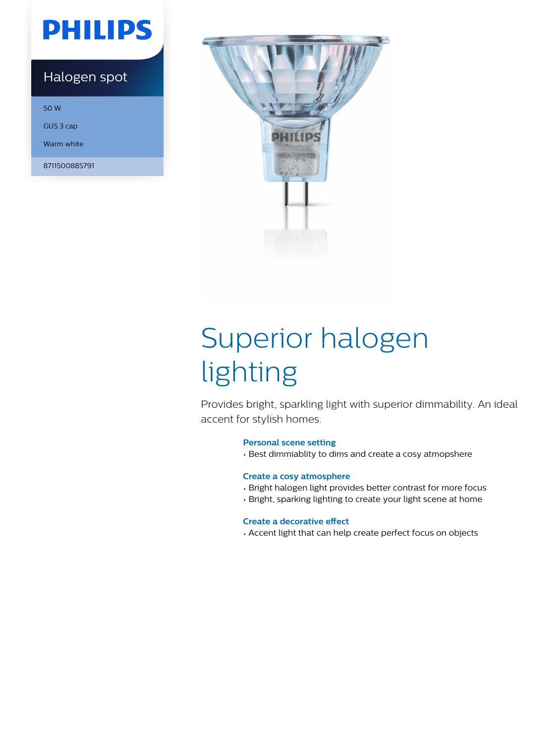## **PHILIPS**

### Halogen spot

50 W

GU5.3 cap

Warm white

8711500885791



# Superior halogen lighting

Provides bright, sparkling light with superior dimmability. An ideal accent for stylish homes.

#### **Personal scene setting**

• Best dimmiablity to dims and create a cosy atmopshere

#### **Create a cosy atmosphere**

- Bright halogen light provides better contrast for more focus
- Bright, sparking lighting to create your light scene at home

#### **Create a decorative effect**

• Accent light that can help create perfect focus on objects